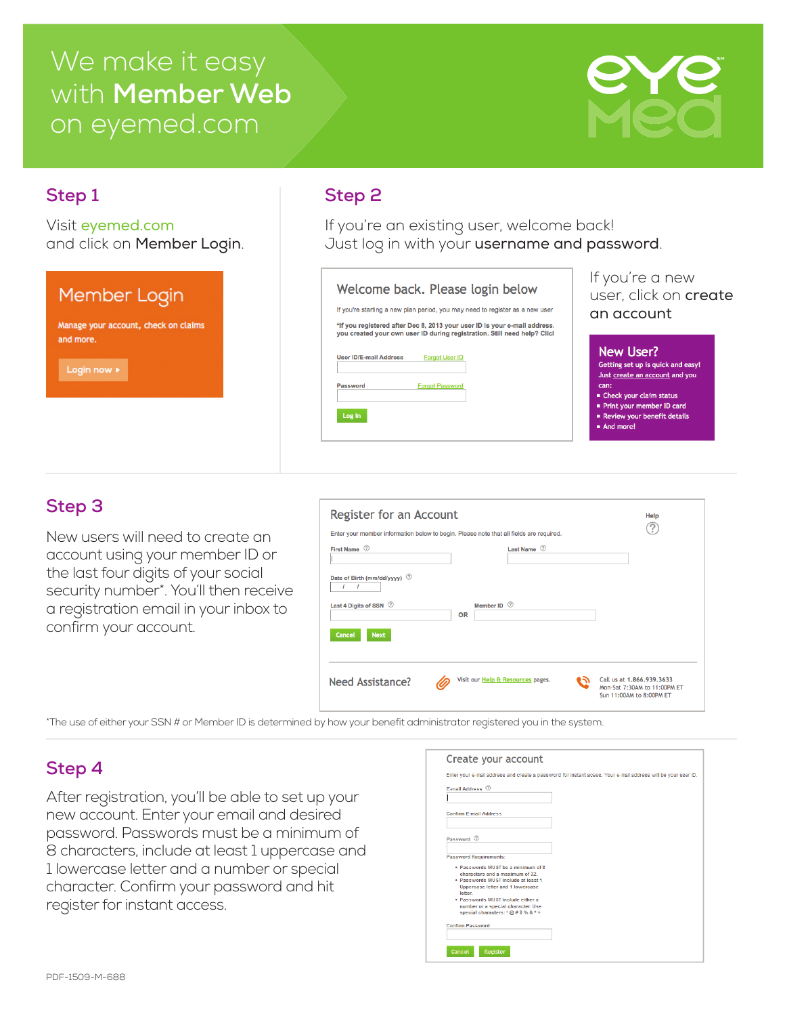# We make it easy with **Member Web** on eyemed.com



### **Step 1 Step 2**

Visit eyemed.com and click on Member Login.

#### If you're a new Welcome back. Please login below Member Login user, click on create If you're starting a new plan period, you may need to register as a new user an account \*If you registered after Dec 8, 2013 your user ID is your e-mail address.<br>you created your own user ID during registration. Still need help? Clici Manage your account, check on claims and more. New User? User ID/E-mail Address Forgot User ID Getting set up is quick and easy! Login now » Just create an account and you Password **Forgot Password** can:  $\blacksquare$  Check your claim status Print your member ID card Review your benefit details Log In And more!

If you're an existing user, welcome back!

Just log in with your username and password.

### **Step 3**

New users will need to create an account using your member ID or the last four digits of your social security number\*. You'll then receive a registration email in your inbox to confirm your account.

| Register for an Account<br>Enter your member information below to begin. Please note that all fields are required. | Help              |                                   |                                                          |
|--------------------------------------------------------------------------------------------------------------------|-------------------|-----------------------------------|----------------------------------------------------------|
| First Name 2                                                                                                       |                   | Last Name 2                       |                                                          |
| Date of Birth (mm/dd/yyyy) 2                                                                                       |                   |                                   |                                                          |
| Last 4 Digits of SSN $\oslash$                                                                                     | Member ID 2<br>OR |                                   |                                                          |
| <b>Cancel</b><br><b>Next</b>                                                                                       |                   |                                   |                                                          |
| Need Assistance?                                                                                                   |                   | Visit our Help & Resources pages. | Call us at 1.866.939.3633                                |
|                                                                                                                    |                   |                                   | Mon-Sat 7:30AM to 11:00PM ET<br>Sun 11:00AM to 8:00PM ET |

\*The use of either your SSN # or Member ID is determined by how your benefit administrator registered you in the system.

## **Step 4**

After registration, you'll be able to set up your new account. Enter your email and desired password. Passwords must be a minimum of 8 characters, include at least 1 uppercase and 1 lowercase letter and a number or special character. Confirm your password and hit register for instant access.

| F-mail Address 2                        |  |
|-----------------------------------------|--|
|                                         |  |
|                                         |  |
| <b>Confirm E-mail Address</b>           |  |
|                                         |  |
| Password 2                              |  |
|                                         |  |
| <b>Password Requirements:</b>           |  |
|                                         |  |
| . Passwords MUST be a minimum of 8      |  |
| characters and a maximum of 32.         |  |
| . Passwords MUST include at least 1     |  |
| <b>Uppercase letter and 1 lowercase</b> |  |
| letter.                                 |  |
| . Passwords MUST include either a       |  |
| number or a special character. Use      |  |
| special characters: ! @ # \$ % & * +    |  |
| <b>Confirm Password</b>                 |  |
|                                         |  |